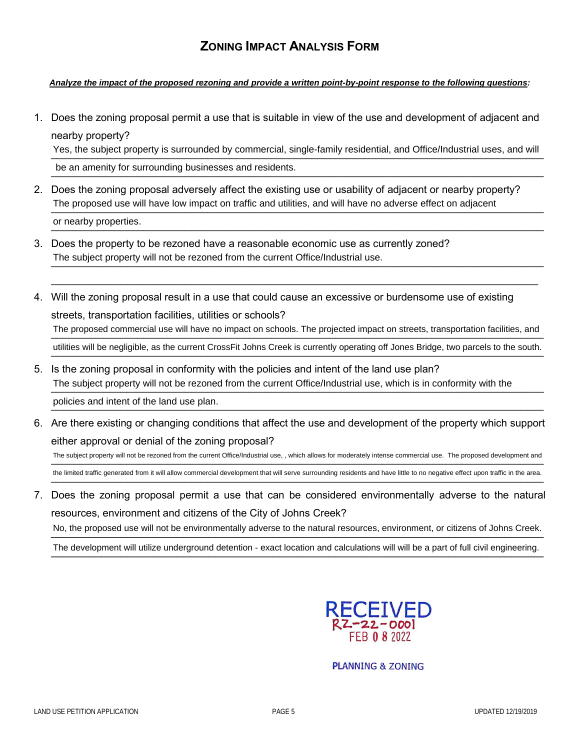## **ZONING IMPACT ANALYSIS FORM**

## *Analyze the impact of the proposed rezoning and provide a written point-by-point response to the following questions:*

1. Does the zoning proposal permit a use that is suitable in view of the use and development of adjacent and nearby property?

Yes, the subject property is surrounded by commercial, single-family residential, and Office/Industrial uses, and will

be an amenity for surrounding businesses and residents.<br>
<u>Conserverses</u> and residents.

- 2. Does the zoning proposal adversely affect the existing use or usability of adjacent or nearby property? The proposed use will have low impact on traffic and utilities, and will have no adverse effect on adjacent \_\_\_\_\_\_\_\_\_\_\_\_\_\_\_\_\_\_\_\_\_\_\_\_\_\_\_\_\_\_\_\_\_\_\_\_\_\_\_\_\_\_\_\_\_\_\_\_\_\_\_\_\_\_\_\_\_\_\_\_\_\_\_\_\_\_\_\_\_\_\_\_\_\_\_\_\_\_\_\_\_\_\_\_\_ or nearby properties.
- 3. Does the property to be rezoned have a reasonable economic use as currently zoned? The subject property will not be rezoned from the current Office/Industrial use.
- 4. Will the zoning proposal result in a use that could cause an excessive or burdensome use of existing streets, transportation facilities, utilities or schools? The proposed commercial use will have no impact on schools. The projected impact on streets, transportation facilities, and utilities will be negligible, as the current CrossFit Johns Creek is currently operating off Jones Bridge, two parcels to the south.

 $\_$  ,  $\_$  ,  $\_$  ,  $\_$  ,  $\_$  ,  $\_$  ,  $\_$  ,  $\_$  ,  $\_$  ,  $\_$  ,  $\_$  ,  $\_$  ,  $\_$  ,  $\_$  ,  $\_$  ,  $\_$  ,  $\_$  ,  $\_$  ,  $\_$  ,  $\_$  ,  $\_$  ,  $\_$  ,  $\_$  ,  $\_$  ,  $\_$  ,  $\_$  ,  $\_$  ,  $\_$  ,  $\_$  ,  $\_$  ,  $\_$  ,  $\_$  ,  $\_$  ,  $\_$  ,  $\_$  ,  $\_$  ,  $\_$  ,

- 5. Is the zoning proposal in conformity with the policies and intent of the land use plan? The subject property will not be rezoned from the current Office/Industrial use, which is in conformity with the policies and intent of the land use plan.
- 6. Are there existing or changing conditions that affect the use and development of the property which support either approval or denial of the zoning proposal? The subject property will not be rezoned from the current Office/Industrial use, , which allows for moderately intense commercial use. The proposed development and

the limited traffic generated from it will allow commercial development that will serve surrounding residents and have little to no negative effect upon traffic in the area.

7. Does the zoning proposal permit a use that can be considered environmentally adverse to the natural resources, environment and citizens of the City of Johns Creek?

No, the proposed use will not be environmentally adverse to the natural resources, environment, or citizens of Johns Creek.

The development will utilize underground detention - exact location and calculations will will be a part of full civil engineering.



**PLANNING & ZONING**